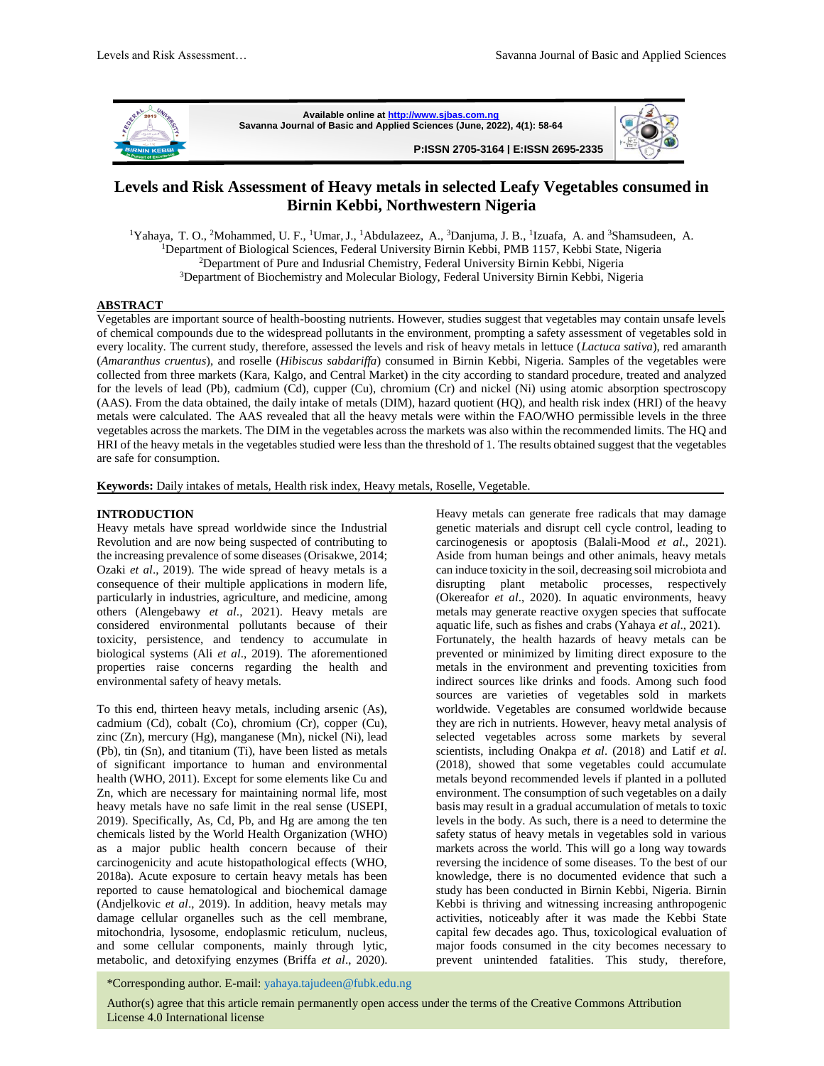

**Available online a[t http://www.sjbas.com.ng](http://www.sjbas.com.ng/) Savanna Journal of Basic and Applied Sciences (June, 2022), 4(1): 58-64 P:ISSN 2705-3164 | E:ISSN 2695-2335** 



# **Levels and Risk Assessment of Heavy metals in selected Leafy Vegetables consumed in Birnin Kebbi, Northwestern Nigeria**

<sup>1</sup>Yahaya, T. O., <sup>2</sup>Mohammed, U. F., <sup>1</sup>Umar, J., <sup>1</sup>Abdulazeez, A., <sup>3</sup>Danjuma, J. B., <sup>1</sup>Izuafa, A. and <sup>3</sup>Shamsudeen, A. <sup>1</sup>Department of Biological Sciences, Federal University Birnin Kebbi, PMB 1157, Kebbi State, Nigeria <sup>2</sup>Department of Pure and Indusrial Chemistry, Federal University Birnin Kebbi, Nigeria <sup>3</sup>Department of Biochemistry and Molecular Biology, Federal University Birnin Kebbi, Nigeria

## **ABSTRACT**

Vegetables are important source of health-boosting nutrients. However, studies suggest that vegetables may contain unsafe levels of chemical compounds due to the widespread pollutants in the environment, prompting a safety assessment of vegetables sold in every locality. The current study, therefore, assessed the levels and risk of heavy metals in lettuce (*Lactuca sativa*), red amaranth (*Amaranthus cruentus*), and roselle (*Hibiscus sabdariffa*) consumed in Birnin Kebbi, Nigeria. Samples of the vegetables were collected from three markets (Kara, Kalgo, and Central Market) in the city according to standard procedure, treated and analyzed for the levels of lead (Pb), cadmium (Cd), cupper (Cu), chromium (Cr) and nickel (Ni) using atomic absorption spectroscopy (AAS). From the data obtained, the daily intake of metals (DIM), hazard quotient (HQ), and health risk index (HRI) of the heavy metals were calculated. The AAS revealed that all the heavy metals were within the FAO/WHO permissible levels in the three vegetables across the markets. The DIM in the vegetables across the markets was also within the recommended limits. The HQ and HRI of the heavy metals in the vegetables studied were less than the threshold of 1. The results obtained suggest that the vegetables are safe for consumption.

**Keywords:** Daily intakes of metals, Health risk index, Heavy metals, Roselle, Vegetable.

#### **INTRODUCTION**

Heavy metals have spread worldwide since the Industrial Revolution and are now being suspected of contributing to the increasing prevalence of some diseases (Orisakwe, 2014; Ozaki *et al*., 2019). The wide spread of heavy metals is a consequence of their multiple applications in modern life, particularly in industries, agriculture, and medicine, among others (Alengebawy *et al*., 2021). Heavy metals are considered environmental pollutants because of their toxicity, persistence, and tendency to accumulate in biological systems (Ali *et al*., 2019). The aforementioned properties raise concerns regarding the health and environmental safety of heavy metals.

To this end, thirteen heavy metals, including arsenic (As), cadmium (Cd), cobalt (Co), chromium (Cr), copper (Cu), zinc (Zn), mercury (Hg), manganese (Mn), nickel (Ni), lead (Pb), tin (Sn), and titanium (Ti), have been listed as metals of significant importance to human and environmental health (WHO, 2011). Except for some elements like Cu and Zn, which are necessary for maintaining normal life, most heavy metals have no safe limit in the real sense (USEPI, 2019). Specifically, As, Cd, Pb, and Hg are among the ten chemicals listed by the World Health Organization (WHO) as a major public health concern because of their carcinogenicity and acute histopathological effects (WHO, 2018a). Acute exposure to certain heavy metals has been reported to cause hematological and biochemical damage (Andjelkovic *et al*., 2019). In addition, heavy metals may damage cellular organelles such as the cell membrane, mitochondria, lysosome, endoplasmic reticulum, nucleus, and some cellular components, mainly through lytic, metabolic, and detoxifying enzymes (Briffa *et al*., 2020).

Heavy metals can generate free radicals that may damage genetic materials and disrupt cell cycle control, leading to carcinogenesis or apoptosis (Balali-Mood *et al*., 2021). Aside from human beings and other animals, heavy metals can induce toxicity in the soil, decreasing soil microbiota and disrupting plant metabolic processes, respectively (Okereafor *et al*., 2020). In aquatic environments, heavy metals may generate reactive oxygen species that suffocate aquatic life, such as fishes and crabs (Yahaya *et al*., 2021). Fortunately, the health hazards of heavy metals can be prevented or minimized by limiting direct exposure to the metals in the environment and preventing toxicities from indirect sources like drinks and foods. Among such food sources are varieties of vegetables sold in markets worldwide. Vegetables are consumed worldwide because they are rich in nutrients. However, heavy metal analysis of selected vegetables across some markets by several scientists, including Onakpa *et al*. (2018) and Latif *et al*. (2018), showed that some vegetables could accumulate metals beyond recommended levels if planted in a polluted environment. The consumption of such vegetables on a daily basis may result in a gradual accumulation of metals to toxic levels in the body. As such, there is a need to determine the safety status of heavy metals in vegetables sold in various markets across the world. This will go a long way towards reversing the incidence of some diseases. To the best of our knowledge, there is no documented evidence that such a study has been conducted in Birnin Kebbi, Nigeria. Birnin Kebbi is thriving and witnessing increasing anthropogenic activities, noticeably after it was made the Kebbi State capital few decades ago. Thus, toxicological evaluation of major foods consumed in the city becomes necessary to prevent unintended fatalities. This study, therefore,

58 \*Corresponding author. E-mail[: yahaya.tajudeen@fubk.edu.ng](mailto:yahaya.tajudeen@fubk.edu.ng)

Author(s) agree that this article remain permanently open access under the terms of the Creative Commons Attribution License 4.0 International license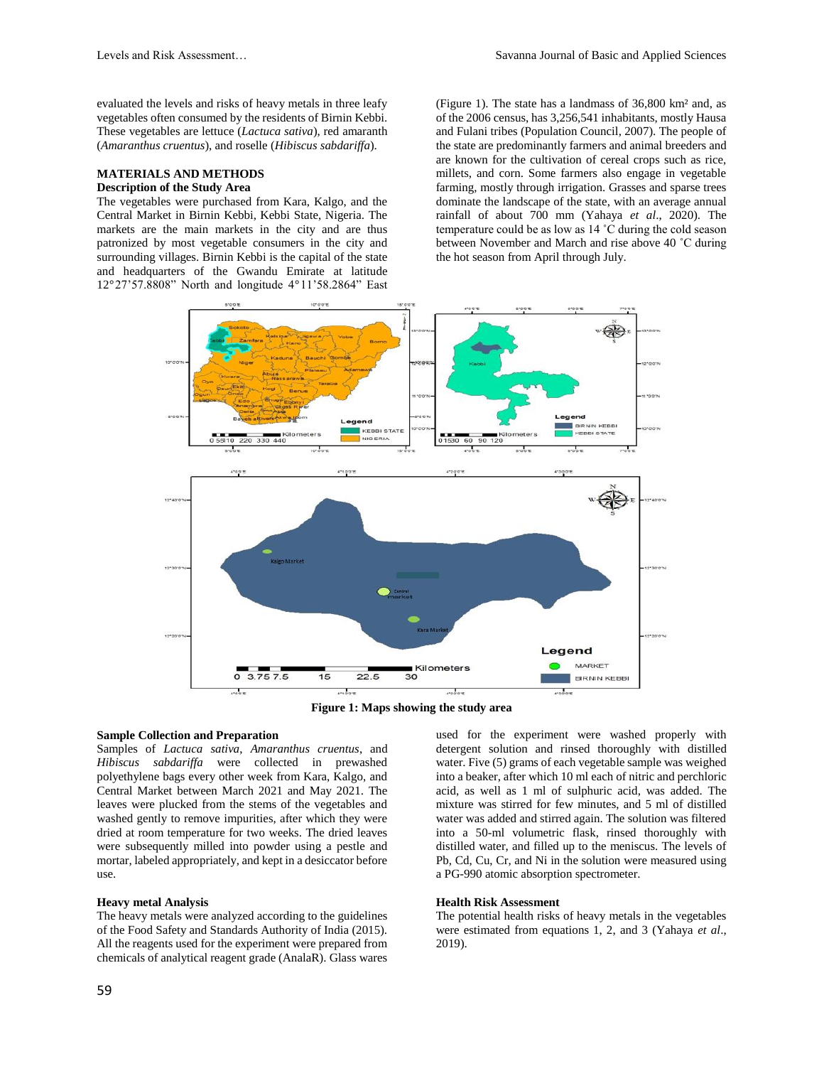evaluated the levels and risks of heavy metals in three leafy vegetables often consumed by the residents of Birnin Kebbi. These vegetables are lettuce (*Lactuca sativa*), red amaranth (*Amaranthus cruentus*), and roselle (*Hibiscus sabdariffa*).

## **MATERIALS AND METHODS**

## **Description of the Study Area**

The vegetables were purchased from Kara, Kalgo, and the Central Market in Birnin Kebbi, Kebbi State, Nigeria. The markets are the main markets in the city and are thus patronized by most vegetable consumers in the city and surrounding villages. Birnin Kebbi is the capital of the state and headquarters of the Gwandu Emirate at latitude 12°27'57.8808" North and longitude 4°11'58.2864" East (Figure 1). The state has a landmass of 36,800 km² and, as of the 2006 census, has 3,256,541 inhabitants, mostly Hausa and Fulani tribes (Population Council, 2007). The people of the state are predominantly farmers and animal breeders and are known for the cultivation of cereal crops such as rice, millets, and corn. Some farmers also engage in vegetable farming, mostly through irrigation. Grasses and sparse trees dominate the landscape of the state, with an average annual rainfall of about 700 mm (Yahaya *et al*., 2020). The temperature could be as low as 14 ˚C during the cold season between November and March and rise above 40 ˚C during the hot season from April through July.





#### **Sample Collection and Preparation**

Samples of *Lactuca sativa*, *Amaranthus cruentus*, and *Hibiscus sabdariffa* were collected in prewashed polyethylene bags every other week from Kara, Kalgo, and Central Market between March 2021 and May 2021. The leaves were plucked from the stems of the vegetables and washed gently to remove impurities, after which they were dried at room temperature for two weeks. The dried leaves were subsequently milled into powder using a pestle and mortar, labeled appropriately, and kept in a desiccator before use.

#### **Heavy metal Analysis**

The heavy metals were analyzed according to the guidelines of the Food Safety and Standards Authority of India (2015). All the reagents used for the experiment were prepared from chemicals of analytical reagent grade (AnalaR). Glass wares used for the experiment were washed properly with detergent solution and rinsed thoroughly with distilled water. Five (5) grams of each vegetable sample was weighed into a beaker, after which 10 ml each of nitric and perchloric acid, as well as 1 ml of sulphuric acid, was added. The mixture was stirred for few minutes, and 5 ml of distilled water was added and stirred again. The solution was filtered into a 50-ml volumetric flask, rinsed thoroughly with distilled water, and filled up to the meniscus. The levels of Pb, Cd, Cu, Cr, and Ni in the solution were measured using a PG-990 atomic absorption spectrometer.

#### **Health Risk Assessment**

The potential health risks of heavy metals in the vegetables were estimated from equations 1, 2, and 3 (Yahaya *et al*., 2019).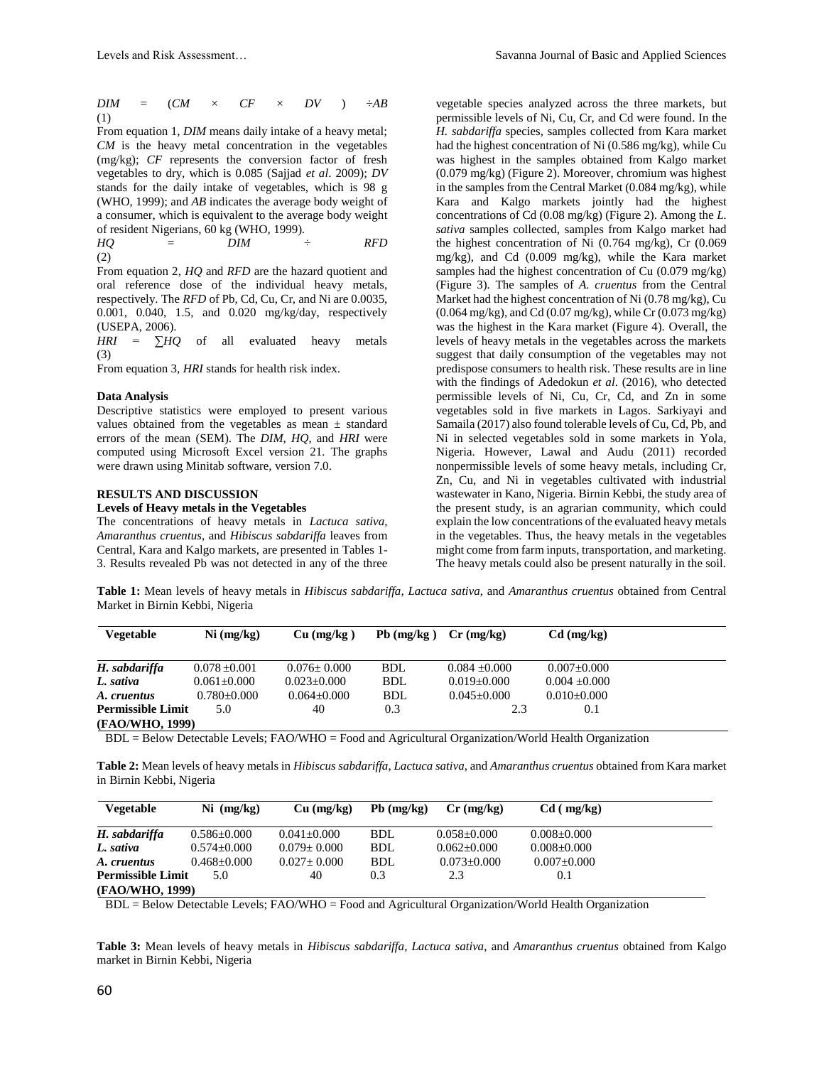*DIM* =  $(CM \times CF \times DV) \div AB$ (1)

From equation 1, *DIM* means daily intake of a heavy metal; *CM* is the heavy metal concentration in the vegetables (mg/kg); *CF* represents the conversion factor of fresh vegetables to dry, which is 0.085 (Sajjad *et al*. 2009); *DV* stands for the daily intake of vegetables, which is 98 g (WHO, 1999); and *AB* indicates the average body weight of a consumer, which is equivalent to the average body weight of resident Nigerians, 60 kg (WHO, 1999).

*HQ* = *DIM* ÷ *RFD* (2)

From equation 2, *HQ* and *RFD* are the hazard quotient and oral reference dose of the individual heavy metals, respectively. The *RFD* of Pb, Cd, Cu, Cr, and Ni are 0.0035, 0.001, 0.040, 1.5, and 0.020 mg/kg/day, respectively (USEPA, 2006).

*HRI* = ∑*HQ* of all evaluated heavy metals (3)

From equation 3, *HRI* stands for health risk index.

#### **Data Analysis**

Descriptive statistics were employed to present various values obtained from the vegetables as mean  $\pm$  standard errors of the mean (SEM). The *DIM*, *HQ*, and *HRI* were computed using Microsoft Excel version 21. The graphs were drawn using Minitab software, version 7.0.

## **RESULTS AND DISCUSSION**

#### **Levels of Heavy metals in the Vegetables**

The concentrations of heavy metals in *Lactuca sativa*, *Amaranthus cruentus*, and *Hibiscus sabdariffa* leaves from Central, Kara and Kalgo markets, are presented in Tables 1- 3. Results revealed Pb was not detected in any of the three

vegetable species analyzed across the three markets, but permissible levels of Ni, Cu, Cr, and Cd were found. In the *H. sabdariffa* species, samples collected from Kara market had the highest concentration of Ni (0.586 mg/kg), while Cu was highest in the samples obtained from Kalgo market (0.079 mg/kg) (Figure 2). Moreover, chromium was highest in the samples from the Central Market (0.084 mg/kg), while Kara and Kalgo markets jointly had the highest concentrations of Cd (0.08 mg/kg) (Figure 2). Among the *L. sativa* samples collected, samples from Kalgo market had the highest concentration of Ni (0.764 mg/kg), Cr (0.069 mg/kg), and Cd (0.009 mg/kg), while the Kara market samples had the highest concentration of Cu (0.079 mg/kg) (Figure 3). The samples of *A. cruentus* from the Central Market had the highest concentration of Ni (0.78 mg/kg), Cu  $(0.064 \text{ mg/kg})$ , and Cd  $(0.07 \text{ mg/kg})$ , while Cr  $(0.073 \text{ mg/kg})$ was the highest in the Kara market (Figure 4). Overall, the levels of heavy metals in the vegetables across the markets suggest that daily consumption of the vegetables may not predispose consumers to health risk. These results are in line with the findings of Adedokun *et al*. (2016), who detected permissible levels of Ni, Cu, Cr, Cd, and Zn in some vegetables sold in five markets in Lagos. Sarkiyayi and Samaila (2017) also found tolerable levels of Cu, Cd, Pb, and Ni in selected vegetables sold in some markets in Yola, Nigeria. However, Lawal and Audu (2011) recorded nonpermissible levels of some heavy metals, including Cr, Zn, Cu, and Ni in vegetables cultivated with industrial wastewater in Kano, Nigeria. Birnin Kebbi, the study area of the present study, is an agrarian community, which could explain the low concentrations of the evaluated heavy metals in the vegetables. Thus, the heavy metals in the vegetables might come from farm inputs, transportation, and marketing. The heavy metals could also be present naturally in the soil.

**Table 1:** Mean levels of heavy metals in *Hibiscus sabdariffa*, *Lactuca sativa*, and *Amaranthus cruentus* obtained from Central Market in Birnin Kebbi, Nigeria

| Vegetable                | Ni (mg/kg)        | $Cu$ (mg/kg)    | $Pb$ (mg/kg) | $Cr$ (mg/kg)    | $Cd$ (mg/kg)      |
|--------------------------|-------------------|-----------------|--------------|-----------------|-------------------|
|                          |                   |                 |              |                 |                   |
| H. sabdariffa            | $0.078 \pm 0.001$ | $0.076 + 0.000$ | BDL          | $0.084 + 0.000$ | $0.007 + 0.000$   |
| L. sativa                | $0.061 + 0.000$   | $0.023 + 0.000$ | <b>BDL</b>   | $0.019 + 0.000$ | $0.004 \pm 0.000$ |
| A. cruentus              | $0.780 + 0.000$   | $0.064 + 0.000$ | BDL          | $0.045 + 0.000$ | $0.010 + 0.000$   |
| <b>Permissible Limit</b> | 5.0               | 40              | 0.3          | 2.3             | 0.1               |
| (FAO/WHO, 1999)          |                   |                 |              |                 |                   |

BDL = Below Detectable Levels; FAO/WHO = Food and Agricultural Organization/World Health Organization

**Table 2:** Mean levels of heavy metals in *Hibiscus sabdariffa*, *Lactuca sativa*, and *Amaranthus cruentus* obtained from Kara market in Birnin Kebbi, Nigeria

| Vegetable                | $Ni$ (mg/kg)      | $Cu$ (mg/kg)      | $Pb$ (mg/kg) | $Cr$ (mg/kg)      | $Cd$ ( mg/kg)     |
|--------------------------|-------------------|-------------------|--------------|-------------------|-------------------|
| H. sabdariffa            | $0.586 \pm 0.000$ | $0.041 + 0.000$   | BDL          | $0.058 \pm 0.000$ | $0.008 + 0.000$   |
| L. sativa                | $0.574 \pm 0.000$ | $0.079 + 0.000$   | <b>BDL</b>   | $0.062 + 0.000$   | $0.008 \pm 0.000$ |
| A. cruentus              | $0.468 + 0.000$   | $0.027 \pm 0.000$ | BDL          | $0.073 + 0.000$   | $0.007 \pm 0.000$ |
| <b>Permissible Limit</b> | 5.0               | 40                | 0.3          | 2.3               | 0.1               |
| (FAO/WHO, 1999)          |                   |                   |              |                   |                   |

BDL = Below Detectable Levels; FAO/WHO = Food and Agricultural Organization/World Health Organization

**Table 3:** Mean levels of heavy metals in *Hibiscus sabdariffa*, *Lactuca sativa*, and *Amaranthus cruentus* obtained from Kalgo market in Birnin Kebbi, Nigeria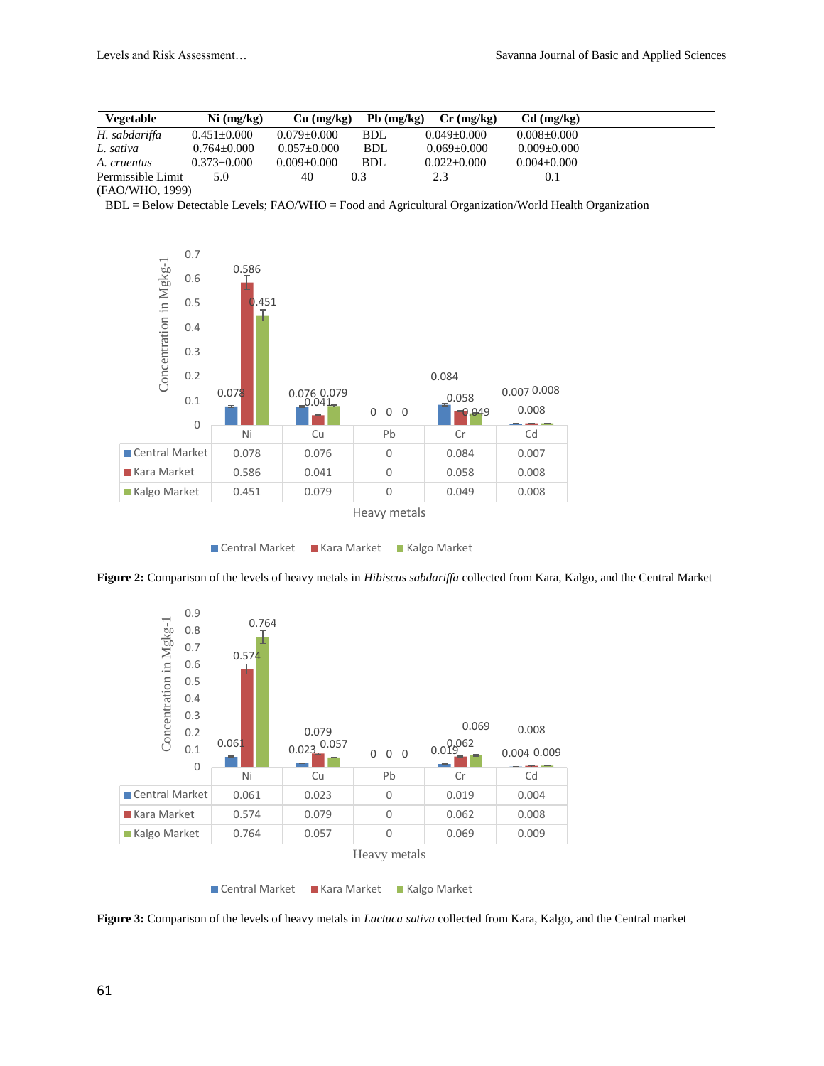| Vegetable         | Ni (mg/kg)        | $Cu$ (mg/kg)      | $Pb$ (mg/kg) | $Cr$ (mg/kg)    | $Cd$ (mg/kg)      |
|-------------------|-------------------|-------------------|--------------|-----------------|-------------------|
| H. sabdariffa     | $0.451 + 0.000$   | $0.079 \pm 0.000$ | <b>BDL</b>   | $0.049 + 0.000$ | $0.008 \pm 0.000$ |
| L. sativa         | $0.764 \pm 0.000$ | $0.057 \pm 0.000$ | <b>BDL</b>   | $0.069 + 0.000$ | $0.009 + 0.000$   |
| A. cruentus       | $0.373 \pm 0.000$ | $0.009 \pm 0.000$ | BDL          | $0.022 + 0.000$ | $0.004 \pm 0.000$ |
| Permissible Limit | 5.0               | 40                | 0.3          | 2.3             | 0.1               |
| (FAO/WHO, 1999)   |                   |                   |              |                 |                   |

BDL = Below Detectable Levels; FAO/WHO = Food and Agricultural Organization/World Health Organization





**Figure 2:** Comparison of the levels of heavy metals in *Hibiscus sabdariffa* collected from Kara, Kalgo, and the Central Market



**Figure 3:** Comparison of the levels of heavy metals in *Lactuca sativa* collected from Kara, Kalgo, and the Central market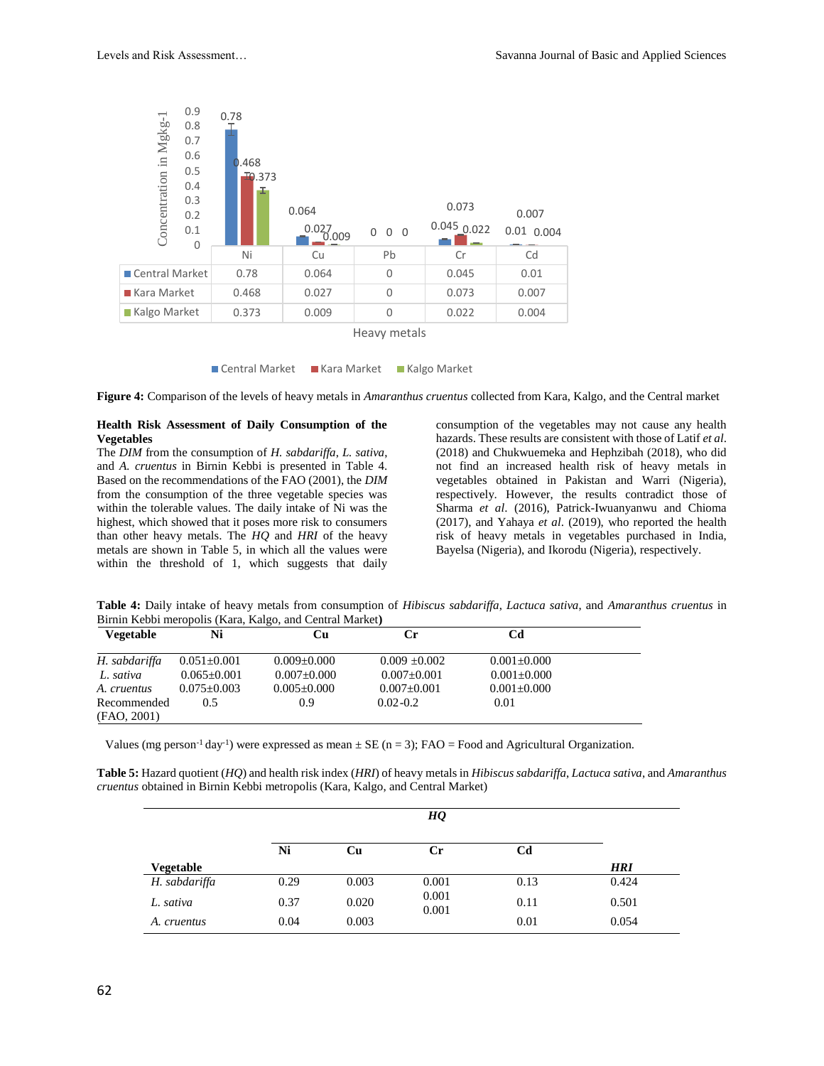



**Figure 4:** Comparison of the levels of heavy metals in *Amaranthus cruentus* collected from Kara, Kalgo, and the Central market

#### **Health Risk Assessment of Daily Consumption of the Vegetables**

The *DIM* from the consumption of *H. sabdariffa*, *L. sativa*, and *A. cruentus* in Birnin Kebbi is presented in Table 4. Based on the recommendations of the FAO (2001), the *DIM* from the consumption of the three vegetable species was within the tolerable values. The daily intake of Ni was the highest, which showed that it poses more risk to consumers than other heavy metals. The *HQ* and *HRI* of the heavy metals are shown in Table 5, in which all the values were within the threshold of 1, which suggests that daily

consumption of the vegetables may not cause any health hazards. These results are consistent with those of Latif *et al*. (2018) and Chukwuemeka and Hephzibah (2018), who did not find an increased health risk of heavy metals in vegetables obtained in Pakistan and Warri (Nigeria), respectively. However, the results contradict those of Sharma *et al*. (2016), Patrick-Iwuanyanwu and Chioma (2017), and Yahaya *et al*. (2019), who reported the health risk of heavy metals in vegetables purchased in India, Bayelsa (Nigeria), and Ikorodu (Nigeria), respectively.

**Table 4:** Daily intake of heavy metals from consumption of *Hibiscus sabdariffa*, *Lactuca sativa*, and *Amaranthus cruentus* in Birnin Kebbi meropolis (Kara, Kalgo, and Central Market**)**

| <b>Vegetable</b> | Ni                | Cu                | Сr                | Cd                |  |
|------------------|-------------------|-------------------|-------------------|-------------------|--|
| H. sabdariffa    | $0.051 \pm 0.001$ | $0.009 \pm 0.000$ | $0.009 + 0.002$   | $0.001 \pm 0.000$ |  |
| L. sativa        | $0.065 + 0.001$   | $0.007 + 0.000$   | $0.007 \pm 0.001$ | $0.001 + 0.000$   |  |
| A. cruentus      | $0.075 + 0.003$   | $0.005 \pm 0.000$ | $0.007 \pm 0.001$ | $0.001 \pm 0.000$ |  |
| Recommended      | 0.5               | 0.9               | $0.02 - 0.2$      | 0.01              |  |
| (FAO, 2001)      |                   |                   |                   |                   |  |

Values (mg person<sup>-1</sup> day<sup>-1</sup>) were expressed as mean  $\pm$  SE (n = 3); FAO = Food and Agricultural Organization.

**Table 5:** Hazard quotient (*HQ*) and health risk index (*HRI*) of heavy metals in *Hibiscus sabdariffa*, *Lactuca sativa*, and *Amaranthus cruentus* obtained in Birnin Kebbi metropolis (Kara, Kalgo, and Central Market)

|                  | Ni   | Cu    | $_{\rm Cr}$    | Cd   |            |
|------------------|------|-------|----------------|------|------------|
| <b>Vegetable</b> |      |       |                |      | <b>HRI</b> |
| H. sabdariffa    | 0.29 | 0.003 | 0.001          | 0.13 | 0.424      |
| L. sativa        | 0.37 | 0.020 | 0.001<br>0.001 | 0.11 | 0.501      |
| A. cruentus      | 0.04 | 0.003 |                | 0.01 | 0.054      |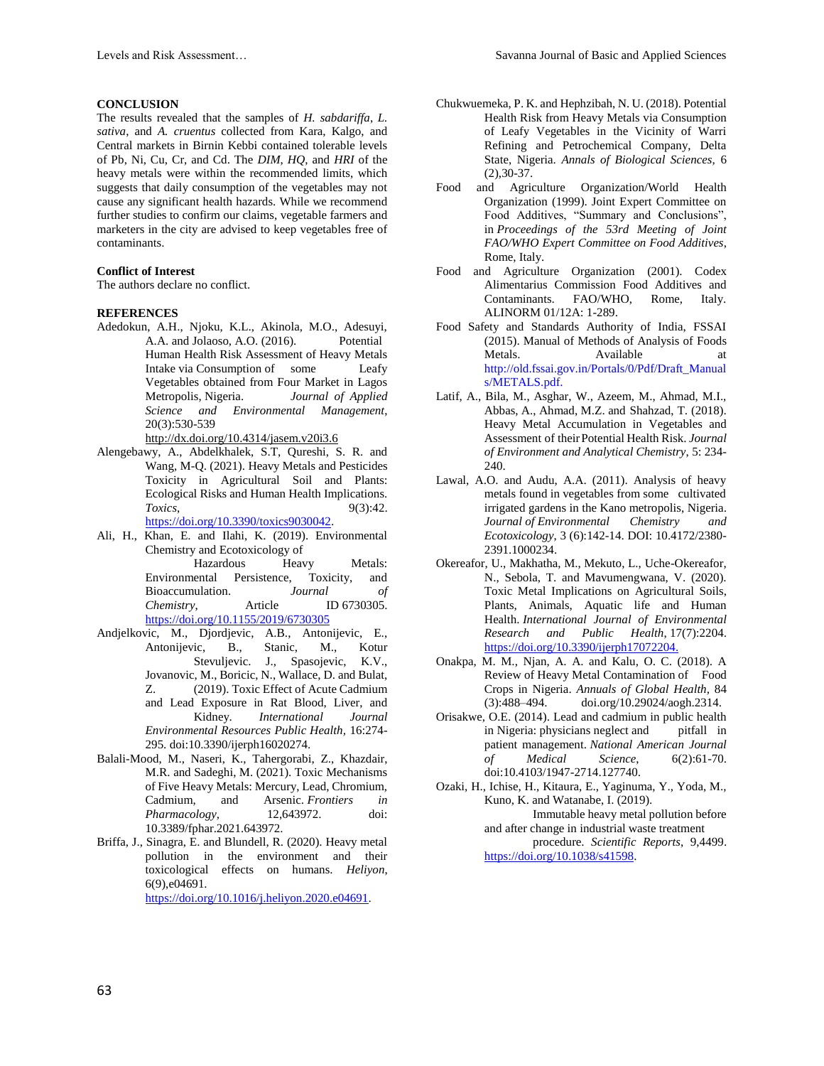## **CONCLUSION**

The results revealed that the samples of *H. sabdariffa*, *L. sativa*, and *A. cruentus* collected from Kara, Kalgo, and Central markets in Birnin Kebbi contained tolerable levels of Pb, Ni, Cu, Cr, and Cd. The *DIM*, *HQ*, and *HRI* of the heavy metals were within the recommended limits, which suggests that daily consumption of the vegetables may not cause any significant health hazards. While we recommend further studies to confirm our claims, vegetable farmers and marketers in the city are advised to keep vegetables free of contaminants.

#### **Conflict of Interest**

The authors declare no conflict.

#### **REFERENCES**

Adedokun, A.H., Njoku, K.L., Akinola, M.O., Adesuyi, A.A. and Jolaoso, A.O. (2016). Potential Human Health Risk Assessment of Heavy Metals Intake via Consumption of some Leafy Vegetables obtained from Four Market in Lagos Metropolis, Nigeria. *Journal of Applied Science and Environmental Management*, 20(3):530-539

<http://dx.doi.org/10.4314/jasem.v20i3.6>

Alengebawy, A., Abdelkhalek, S.T, Qureshi, S. R. and Wang, M-Q. (2021). Heavy Metals and Pesticides Toxicity in Agricultural Soil and Plants: Ecological Risks and Human Health Implications. *Toxics*, 9(3):42. https://doi.org/10.3390/toxics9030042

- Ali, H., Khan, E. and Ilahi, K. (2019). Environmental Chemistry and Ecotoxicology of Hazardous Heavy Metals: Environmental Persistence, Toxicity, and Bioaccumulation. *Journal of Chemistry*, Article ID 6730305. <https://doi.org/10.1155/2019/6730305>
- Andjelkovic, M., Djordjevic, A.B., Antonijevic, E., Antonijevic, B., Stanic, M., Kotur<br>Stevuljevic. J., Spasojevic, K.V., Stevuljevic. J., Spasojevic, Jovanovic, M., Boricic, N., Wallace, D. and Bulat, Z. (2019). Toxic Effect of Acute Cadmium and Lead Exposure in Rat Blood, Liver, and Kidney. *International Journal Environmental Resources Public Health,* 16:274- 295. doi:10.3390/ijerph16020274.
- Balali-Mood, M., Naseri, K., Tahergorabi, Z., Khazdair, M.R. and Sadeghi, M. (2021). Toxic Mechanisms of Five Heavy Metals: Mercury, Lead, Chromium, Cadmium, and Arsenic. *Frontiers in Pharmacology,* 12,643972. doi: 10.3389/fphar.2021.643972.
- Briffa, J., Sinagra, E. and Blundell, R. (2020). Heavy metal pollution in the environment and their toxicological effects on humans. *Heliyon*, 6(9),e04691.

[https://doi.org/10.1016/j.heliyon.2020.e04691.](https://doi.org/10.1016/j.heliyon.2020.e04691)

- Chukwuemeka, P. K. and Hephzibah, N. U. (2018). Potential Health Risk from Heavy Metals via Consumption of Leafy Vegetables in the Vicinity of Warri Refining and Petrochemical Company, Delta State, Nigeria. *Annals of Biological Sciences,* 6 (2),30-37.
- Food and Agriculture Organization/World Health Organization (1999). Joint Expert Committee on Food Additives, "Summary and Conclusions", in *Proceedings of the 53rd Meeting of Joint FAO/WHO Expert Committee on Food Additives*, Rome, Italy.
- Food and Agriculture Organization (2001). Codex Alimentarius Commission Food Additives and Contaminants. FAO/WHO, Rome, Italy. ALINORM 01/12A: 1-289.
- Food Safety and Standards Authority of India, FSSAI (2015). Manual of Methods of Analysis of Foods Metals. Available at [http://old.fssai.gov.in/Portals/0/Pdf/Draft\\_Manual](http://old.fssai.gov.in/Portals/0/Pdf/Draft_Manuals/METALS.pdf) [s/METALS.pdf.](http://old.fssai.gov.in/Portals/0/Pdf/Draft_Manuals/METALS.pdf)
- Latif, A., Bila, M., Asghar, W., Azeem, M., Ahmad, M.I., Abbas, A., Ahmad, M.Z. and Shahzad, T. (2018). Heavy Metal Accumulation in Vegetables and Assessment of theirPotential Health Risk. *Journal of Environment and Analytical Chemistry*, 5: 234- 240.
- Lawal, A.O. and Audu, A.A. (2011). Analysis of heavy metals found in vegetables from some cultivated irrigated gardens in the Kano metropolis, Nigeria. *Journal of Environmental Chemistry and Ecotoxicology*, 3 (6):142-14. DOI: 10.4172/2380- 2391.1000234.
- Okereafor, U., Makhatha, M., Mekuto, L., Uche-Okereafor, N., Sebola, T. and Mavumengwana, V. (2020). Toxic Metal Implications on Agricultural Soils, Plants, Animals, Aquatic life and Human Health. *International Journal of Environmental Research and Public Health*, 17(7):2204. [https://doi.org/10.3390/ijerph17072204.](https://doi.org/10.3390/ijerph17072204)
- Onakpa, M. M., Njan, A. A. and Kalu, O. C. (2018). A Review of Heavy Metal Contamination of Food Crops in Nigeria. *Annuals of Global Health,* 84 (3):488–494. doi.org/10.29024/aogh.2314.
- Orisakwe, O.E. (2014). Lead and cadmium in public health in Nigeria: physicians neglect and pitfall in patient management. *National American Journal of Medical Science*, 6(2):61-70. doi:10.4103/1947-2714.127740.
- Ozaki, H., Ichise, H., Kitaura, E., Yaginuma, Y., Yoda, M., Kuno, K. and Watanabe, I. (2019). Immutable heavy metal pollution before and after change in industrial waste treatment procedure. *Scientific Reports*, 9,4499. [https://doi.org/10.1038/s41598.](https://doi.org/10.1038/s41598)